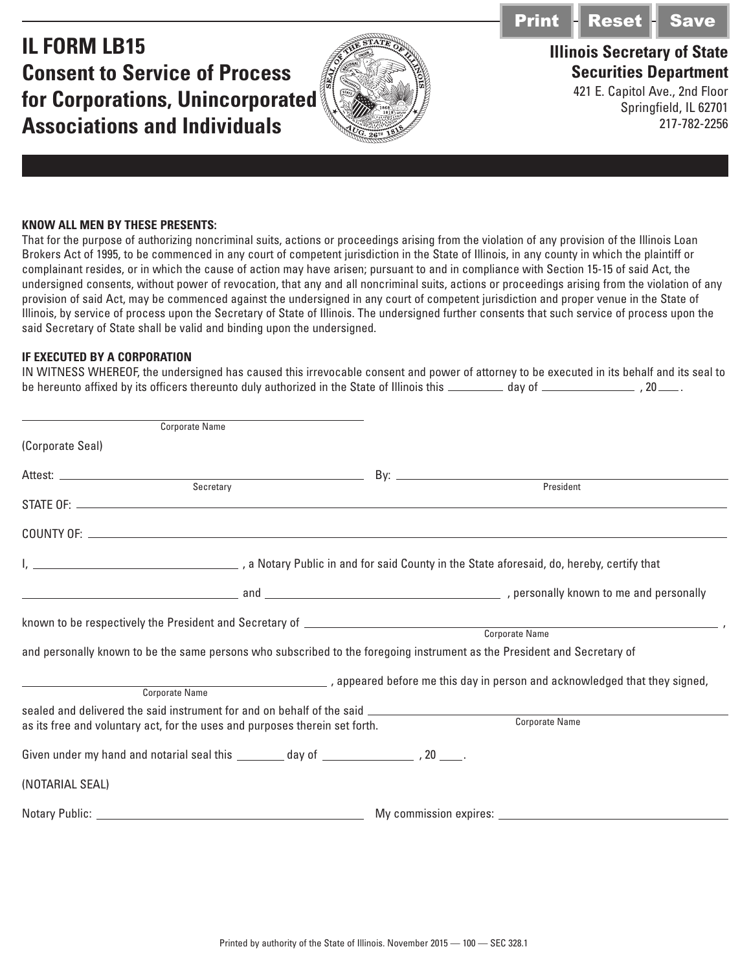**IL FORM LB15 Consent to Service of Process for Corporations, Unincorporated Associations and Individuals**



## **Illinois Secretary of State** Print Reset Save

**Securities Department** 421 E. Capitol Ave., 2nd Floor

Springfield, IL 62701 217-782-2256

## **KNOW ALL MEN BY THESE PRESENTS:**

That for the purpose of authorizing noncriminal suits, actions or proceedings arising from the violation of any provision of the Illinois Loan Brokers Act of 1995, to be commenced in any court of competent jurisdiction in the State of Illinois, in any county in which the plaintiff or complainant resides, or in which the cause of action may have arisen; pursuant to and in compliance with Section 15-15 of said Act, the undersigned consents, without power of revocation, that any and all noncriminal suits, actions or proceedings arising from the violation of any provision of said Act, may be commenced against the undersigned in any court of competent jurisdiction and proper venue in the State of Illinois, by service of process upon the Secretary of State of Illinois. The undersigned further consents that such service of process upon the said Secretary of State shall be valid and binding upon the undersigned.

## **IF EXECUTED BY A CORPORATION**

| IN WITNESS WHEREOF, the undersigned has caused this irrevocable consent and power of attorney to be executed in its behalf and its seal to |        |             |
|--------------------------------------------------------------------------------------------------------------------------------------------|--------|-------------|
| be hereunto affixed by its officers thereunto duly authorized in the State of Illinois this.                                               | dav of | $.40$ $-$ . |

| <b>Corporate Name</b>                                                                                                        |                                                                                                                          |
|------------------------------------------------------------------------------------------------------------------------------|--------------------------------------------------------------------------------------------------------------------------|
| (Corporate Seal)                                                                                                             |                                                                                                                          |
|                                                                                                                              |                                                                                                                          |
| Secretary                                                                                                                    | President                                                                                                                |
|                                                                                                                              |                                                                                                                          |
|                                                                                                                              |                                                                                                                          |
|                                                                                                                              |                                                                                                                          |
|                                                                                                                              | and personally known to be the same persons who subscribed to the foregoing instrument as the President and Secretary of |
| <b>Corporate Name</b><br>sealed and delivered the said instrument for and on behalf of the said ____________________________ | , appeared before me this day in person and acknowledged that they signed,                                               |
| as its free and voluntary act, for the uses and purposes therein set forth.                                                  | Corporate Name                                                                                                           |
| Given under my hand and notarial seal this ________ day of __________________, 20 _____.                                     |                                                                                                                          |
| (NOTARIAL SEAL)                                                                                                              |                                                                                                                          |
|                                                                                                                              |                                                                                                                          |